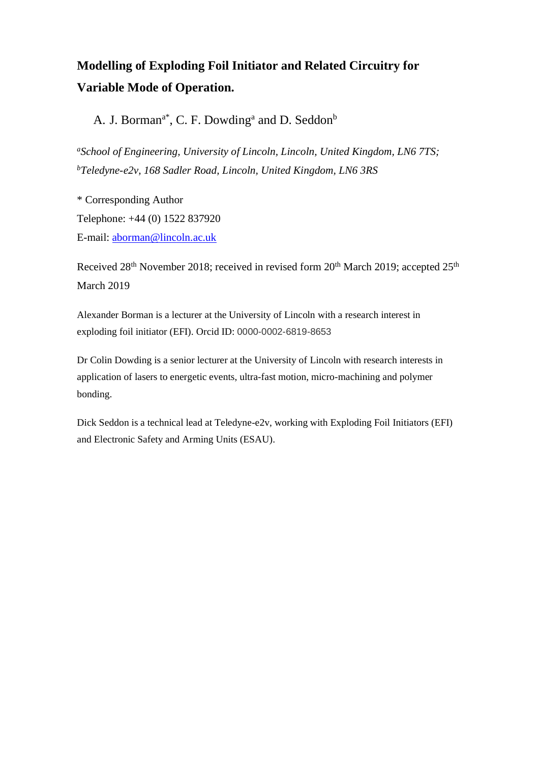# **Modelling of Exploding Foil Initiator and Related Circuitry for Variable Mode of Operation.**

A. J. Borman<sup>a\*</sup>, C. F. Dowding<sup>a</sup> and D. Seddon<sup>b</sup>

*<sup>a</sup>School of Engineering, University of Lincoln, Lincoln, United Kingdom, LN6 7TS; <sup>b</sup>Teledyne-e2v, 168 Sadler Road, Lincoln, United Kingdom, LN6 3RS*

\* Corresponding Author Telephone: +44 (0) 1522 837920 E-mail: [aborman@lincoln.ac.uk](mailto:aborman@lincoln.ac.uk)

Received 28<sup>th</sup> November 2018; received in revised form 20<sup>th</sup> March 2019; accepted 25<sup>th</sup> March 2019

Alexander Borman is a lecturer at the University of Lincoln with a research interest in exploding foil initiator (EFI). Orcid ID: 0000-0002-6819-8653

Dr Colin Dowding is a senior lecturer at the University of Lincoln with research interests in application of lasers to energetic events, ultra-fast motion, micro-machining and polymer bonding.

Dick Seddon is a technical lead at Teledyne-e2v, working with Exploding Foil Initiators (EFI) and Electronic Safety and Arming Units (ESAU).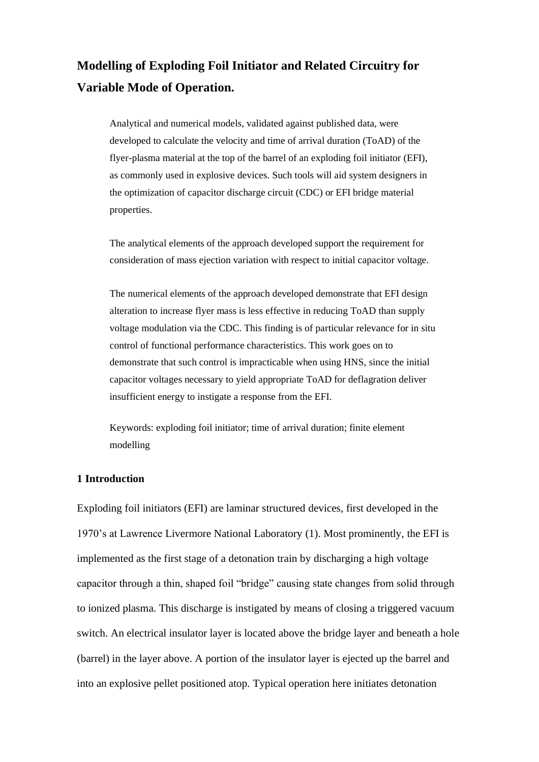# **Modelling of Exploding Foil Initiator and Related Circuitry for Variable Mode of Operation.**

Analytical and numerical models, validated against published data, were developed to calculate the velocity and time of arrival duration (ToAD) of the flyer-plasma material at the top of the barrel of an exploding foil initiator (EFI), as commonly used in explosive devices. Such tools will aid system designers in the optimization of capacitor discharge circuit (CDC) or EFI bridge material properties.

The analytical elements of the approach developed support the requirement for consideration of mass ejection variation with respect to initial capacitor voltage.

The numerical elements of the approach developed demonstrate that EFI design alteration to increase flyer mass is less effective in reducing ToAD than supply voltage modulation via the CDC. This finding is of particular relevance for in situ control of functional performance characteristics. This work goes on to demonstrate that such control is impracticable when using HNS, since the initial capacitor voltages necessary to yield appropriate ToAD for deflagration deliver insufficient energy to instigate a response from the EFI.

Keywords: exploding foil initiator; time of arrival duration; finite element modelling

### **1 Introduction**

Exploding foil initiators (EFI) are laminar structured devices, first developed in the 1970's at Lawrence Livermore National Laboratory (1). Most prominently, the EFI is implemented as the first stage of a detonation train by discharging a high voltage capacitor through a thin, shaped foil "bridge" causing state changes from solid through to ionized plasma. This discharge is instigated by means of closing a triggered vacuum switch. An electrical insulator layer is located above the bridge layer and beneath a hole (barrel) in the layer above. A portion of the insulator layer is ejected up the barrel and into an explosive pellet positioned atop. Typical operation here initiates detonation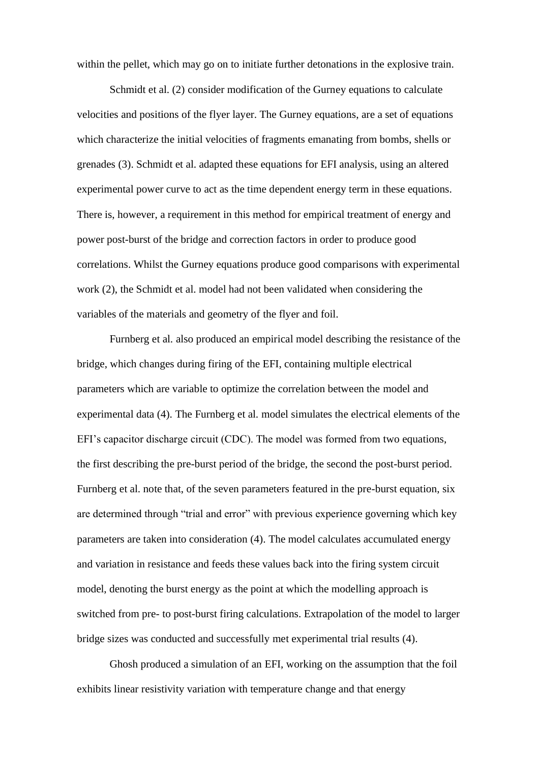within the pellet, which may go on to initiate further detonations in the explosive train.

Schmidt et al. (2) consider modification of the Gurney equations to calculate velocities and positions of the flyer layer. The Gurney equations, are a set of equations which characterize the initial velocities of fragments emanating from bombs, shells or grenades (3). Schmidt et al. adapted these equations for EFI analysis, using an altered experimental power curve to act as the time dependent energy term in these equations. There is, however, a requirement in this method for empirical treatment of energy and power post-burst of the bridge and correction factors in order to produce good correlations. Whilst the Gurney equations produce good comparisons with experimental work (2), the Schmidt et al. model had not been validated when considering the variables of the materials and geometry of the flyer and foil.

Furnberg et al. also produced an empirical model describing the resistance of the bridge, which changes during firing of the EFI, containing multiple electrical parameters which are variable to optimize the correlation between the model and experimental data (4). The Furnberg et al. model simulates the electrical elements of the EFI's capacitor discharge circuit (CDC). The model was formed from two equations, the first describing the pre-burst period of the bridge, the second the post-burst period. Furnberg et al. note that, of the seven parameters featured in the pre-burst equation, six are determined through "trial and error" with previous experience governing which key parameters are taken into consideration (4). The model calculates accumulated energy and variation in resistance and feeds these values back into the firing system circuit model, denoting the burst energy as the point at which the modelling approach is switched from pre- to post-burst firing calculations. Extrapolation of the model to larger bridge sizes was conducted and successfully met experimental trial results (4).

Ghosh produced a simulation of an EFI, working on the assumption that the foil exhibits linear resistivity variation with temperature change and that energy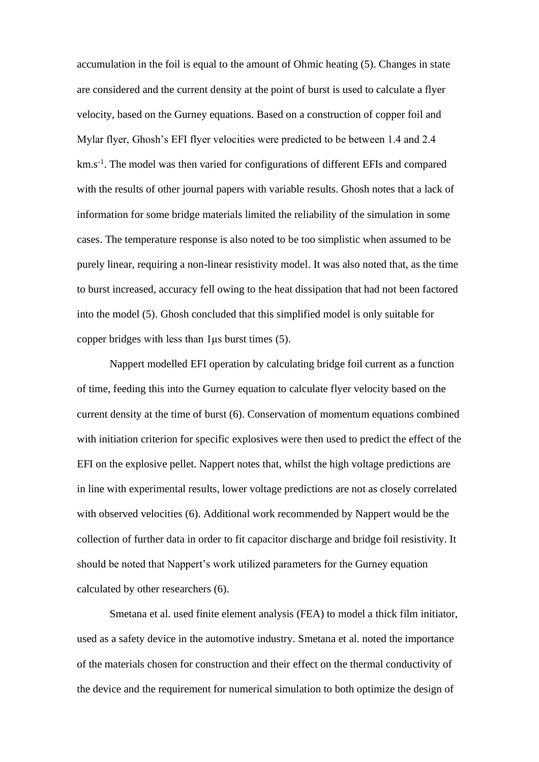accumulation in the foil is equal to the amount of Ohmic heating (5). Changes in state are considered and the current density at the point of burst is used to calculate a flyer velocity, based on the Gurney equations. Based on a construction of copper foil and Mylar flyer, Ghosh's EFI flyer velocities were predicted to be between 1.4 and 2.4 km.s<sup>-1</sup>. The model was then varied for configurations of different EFIs and compared with the results of other journal papers with variable results. Ghosh notes that a lack of information for some bridge materials limited the reliability of the simulation in some cases. The temperature response is also noted to be too simplistic when assumed to be purely linear, requiring a non-linear resistivity model. It was also noted that, as the time to burst increased, accuracy fell owing to the heat dissipation that had not been factored into the model (5). Ghosh concluded that this simplified model is only suitable for copper bridges with less than 1μs burst times (5).

Nappert modelled EFI operation by calculating bridge foil current as a function of time, feeding this into the Gurney equation to calculate flyer velocity based on the current density at the time of burst (6). Conservation of momentum equations combined with initiation criterion for specific explosives were then used to predict the effect of the EFI on the explosive pellet. Nappert notes that, whilst the high voltage predictions are in line with experimental results, lower voltage predictions are not as closely correlated with observed velocities (6). Additional work recommended by Nappert would be the collection of further data in order to fit capacitor discharge and bridge foil resistivity. It should be noted that Nappert's work utilized parameters for the Gurney equation calculated by other researchers (6).

Smetana et al. used finite element analysis (FEA) to model a thick film initiator, used as a safety device in the automotive industry. Smetana et al. noted the importance of the materials chosen for construction and their effect on the thermal conductivity of the device and the requirement for numerical simulation to both optimize the design of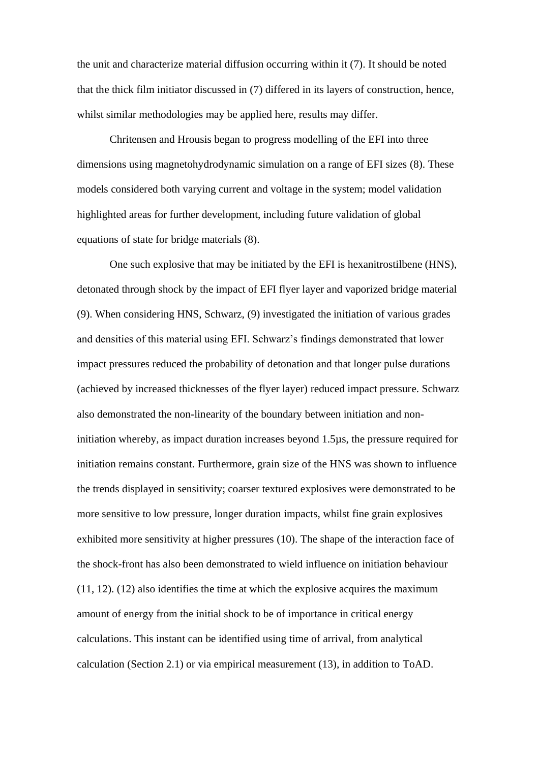the unit and characterize material diffusion occurring within it (7). It should be noted that the thick film initiator discussed in (7) differed in its layers of construction, hence, whilst similar methodologies may be applied here, results may differ.

Chritensen and Hrousis began to progress modelling of the EFI into three dimensions using magnetohydrodynamic simulation on a range of EFI sizes (8). These models considered both varying current and voltage in the system; model validation highlighted areas for further development, including future validation of global equations of state for bridge materials (8).

One such explosive that may be initiated by the EFI is hexanitrostilbene (HNS), detonated through shock by the impact of EFI flyer layer and vaporized bridge material (9). When considering HNS, Schwarz, (9) investigated the initiation of various grades and densities of this material using EFI. Schwarz's findings demonstrated that lower impact pressures reduced the probability of detonation and that longer pulse durations (achieved by increased thicknesses of the flyer layer) reduced impact pressure. Schwarz also demonstrated the non-linearity of the boundary between initiation and noninitiation whereby, as impact duration increases beyond 1.5µs, the pressure required for initiation remains constant. Furthermore, grain size of the HNS was shown to influence the trends displayed in sensitivity; coarser textured explosives were demonstrated to be more sensitive to low pressure, longer duration impacts, whilst fine grain explosives exhibited more sensitivity at higher pressures (10). The shape of the interaction face of the shock-front has also been demonstrated to wield influence on initiation behaviour (11, 12). (12) also identifies the time at which the explosive acquires the maximum amount of energy from the initial shock to be of importance in critical energy calculations. This instant can be identified using time of arrival, from analytical calculation (Section 2.1) or via empirical measurement (13), in addition to ToAD.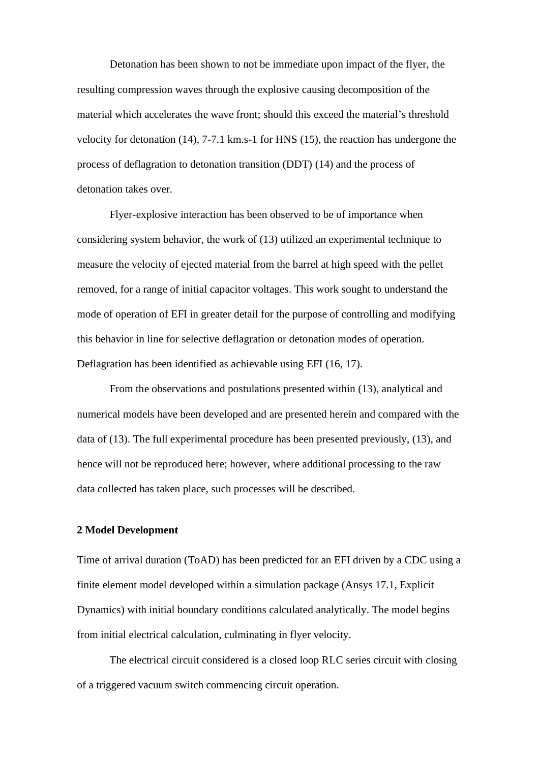Detonation has been shown to not be immediate upon impact of the flyer, the resulting compression waves through the explosive causing decomposition of the material which accelerates the wave front; should this exceed the material's threshold velocity for detonation (14), 7-7.1 km.s-1 for HNS (15), the reaction has undergone the process of deflagration to detonation transition (DDT) (14) and the process of detonation takes over.

Flyer-explosive interaction has been observed to be of importance when considering system behavior, the work of (13) utilized an experimental technique to measure the velocity of ejected material from the barrel at high speed with the pellet removed, for a range of initial capacitor voltages. This work sought to understand the mode of operation of EFI in greater detail for the purpose of controlling and modifying this behavior in line for selective deflagration or detonation modes of operation. Deflagration has been identified as achievable using EFI (16, 17).

From the observations and postulations presented within (13), analytical and numerical models have been developed and are presented herein and compared with the data of (13). The full experimental procedure has been presented previously, (13), and hence will not be reproduced here; however, where additional processing to the raw data collected has taken place, such processes will be described.

#### **2 Model Development**

Time of arrival duration (ToAD) has been predicted for an EFI driven by a CDC using a finite element model developed within a simulation package (Ansys 17.1, Explicit Dynamics) with initial boundary conditions calculated analytically. The model begins from initial electrical calculation, culminating in flyer velocity.

The electrical circuit considered is a closed loop RLC series circuit with closing of a triggered vacuum switch commencing circuit operation.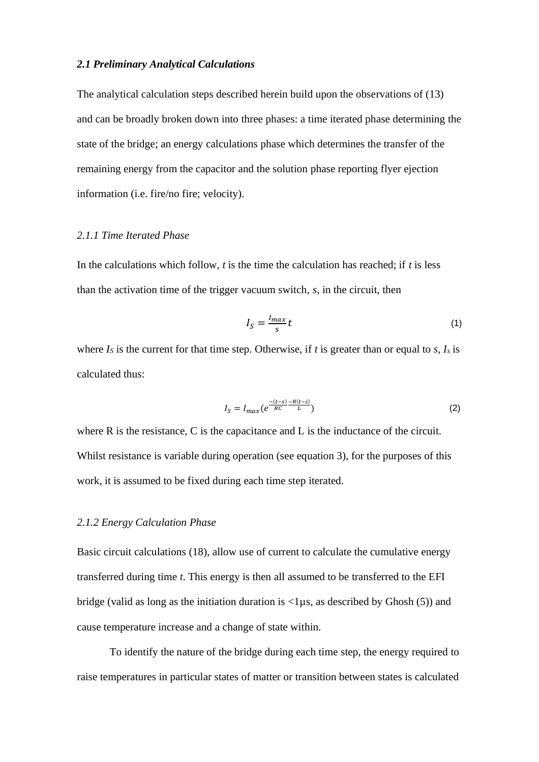### *2.1 Preliminary Analytical Calculations*

The analytical calculation steps described herein build upon the observations of (13) and can be broadly broken down into three phases: a time iterated phase determining the state of the bridge; an energy calculations phase which determines the transfer of the remaining energy from the capacitor and the solution phase reporting flyer ejection information (i.e. fire/no fire; velocity).

# *2.1.1 Time Iterated Phase*

In the calculations which follow, *t* is the time the calculation has reached; if *t* is less than the activation time of the trigger vacuum switch, *s*, in the circuit, then

$$
I_S = \frac{I_{max}}{s} t \tag{1}
$$

where  $I_s$  is the current for that time step. Otherwise, if  $t$  is greater than or equal to  $s$ ,  $I_s$  is calculated thus:

$$
I_S = I_{max}(e^{\frac{-(t-s)}{RC}} \frac{-R(t-s)}{L})
$$
\n(2)

where R is the resistance, C is the capacitance and L is the inductance of the circuit. Whilst resistance is variable during operation (see equation 3), for the purposes of this work, it is assumed to be fixed during each time step iterated.

### *2.1.2 Energy Calculation Phase*

Basic circuit calculations (18), allow use of current to calculate the cumulative energy transferred during time *t*. This energy is then all assumed to be transferred to the EFI bridge (valid as long as the initiation duration is <1µs, as described by Ghosh (5)) and cause temperature increase and a change of state within.

To identify the nature of the bridge during each time step, the energy required to raise temperatures in particular states of matter or transition between states is calculated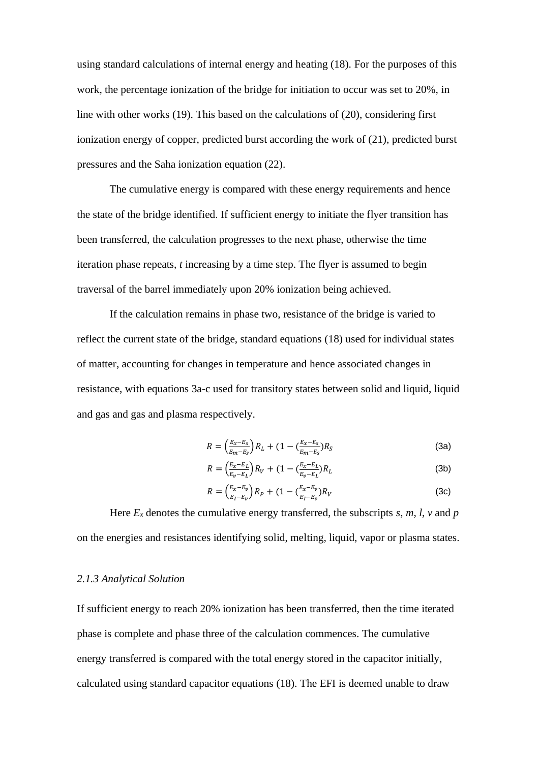using standard calculations of internal energy and heating (18). For the purposes of this work, the percentage ionization of the bridge for initiation to occur was set to 20%, in line with other works (19). This based on the calculations of (20), considering first ionization energy of copper, predicted burst according the work of (21), predicted burst pressures and the Saha ionization equation (22).

The cumulative energy is compared with these energy requirements and hence the state of the bridge identified. If sufficient energy to initiate the flyer transition has been transferred, the calculation progresses to the next phase, otherwise the time iteration phase repeats, *t* increasing by a time step. The flyer is assumed to begin traversal of the barrel immediately upon 20% ionization being achieved.

If the calculation remains in phase two, resistance of the bridge is varied to reflect the current state of the bridge, standard equations (18) used for individual states of matter, accounting for changes in temperature and hence associated changes in resistance, with equations 3a-c used for transitory states between solid and liquid, liquid and gas and gas and plasma respectively.

$$
R = \left(\frac{E_x - E_S}{E_m - E_S}\right) R_L + (1 - \left(\frac{E_x - E_S}{E_m - E_S}\right) R_S
$$
\n(3a)

$$
R = \left(\frac{E_x - E_L}{E_v - E_L}\right) R_V + (1 - \left(\frac{E_x - E_L}{E_v - E_L}\right) R_L \tag{3b}
$$

$$
R = \left(\frac{E_X - E_v}{E_I - E_v}\right) R_P + (1 - \left(\frac{E_X - E_v}{E_I - E_v}\right) R_V \tag{3c}
$$

Here  $E_x$  denotes the cumulative energy transferred, the subscripts  $s$ ,  $m$ ,  $l$ ,  $v$  and  $p$ on the energies and resistances identifying solid, melting, liquid, vapor or plasma states.

#### *2.1.3 Analytical Solution*

If sufficient energy to reach 20% ionization has been transferred, then the time iterated phase is complete and phase three of the calculation commences. The cumulative energy transferred is compared with the total energy stored in the capacitor initially, calculated using standard capacitor equations (18). The EFI is deemed unable to draw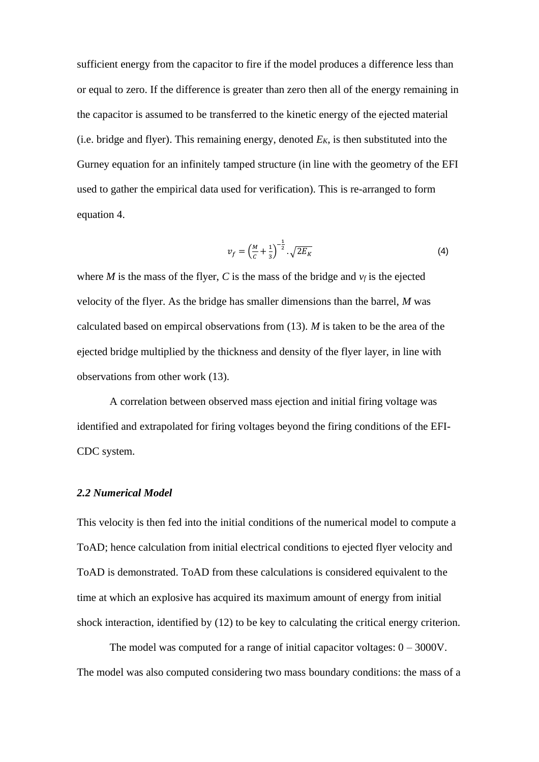sufficient energy from the capacitor to fire if the model produces a difference less than or equal to zero. If the difference is greater than zero then all of the energy remaining in the capacitor is assumed to be transferred to the kinetic energy of the ejected material (i.e. bridge and flyer). This remaining energy, denoted *EK*, is then substituted into the Gurney equation for an infinitely tamped structure (in line with the geometry of the EFI used to gather the empirical data used for verification). This is re-arranged to form equation 4.

$$
v_f = \left(\frac{M}{c} + \frac{1}{3}\right)^{-\frac{1}{2}} \cdot \sqrt{2E_K}
$$
 (4)

where *M* is the mass of the flyer, *C* is the mass of the bridge and  $v_f$  is the ejected velocity of the flyer. As the bridge has smaller dimensions than the barrel, *M* was calculated based on empircal observations from (13). *M* is taken to be the area of the ejected bridge multiplied by the thickness and density of the flyer layer, in line with observations from other work (13).

A correlation between observed mass ejection and initial firing voltage was identified and extrapolated for firing voltages beyond the firing conditions of the EFI-CDC system.

#### *2.2 Numerical Model*

This velocity is then fed into the initial conditions of the numerical model to compute a ToAD; hence calculation from initial electrical conditions to ejected flyer velocity and ToAD is demonstrated. ToAD from these calculations is considered equivalent to the time at which an explosive has acquired its maximum amount of energy from initial shock interaction, identified by (12) to be key to calculating the critical energy criterion.

The model was computed for a range of initial capacitor voltages:  $0 - 3000V$ . The model was also computed considering two mass boundary conditions: the mass of a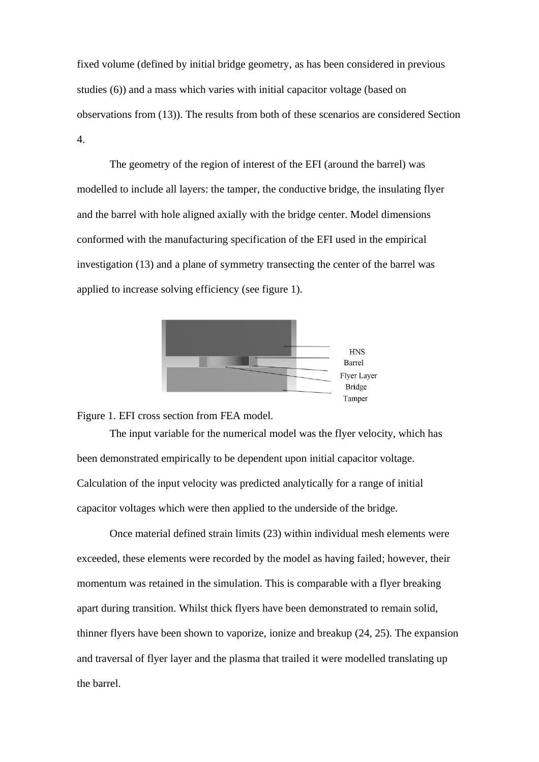fixed volume (defined by initial bridge geometry, as has been considered in previous studies (6)) and a mass which varies with initial capacitor voltage (based on observations from (13)). The results from both of these scenarios are considered Section 4.

The geometry of the region of interest of the EFI (around the barrel) was modelled to include all layers: the tamper, the conductive bridge, the insulating flyer and the barrel with hole aligned axially with the bridge center. Model dimensions conformed with the manufacturing specification of the EFI used in the empirical investigation (13) and a plane of symmetry transecting the center of the barrel was applied to increase solving efficiency (see figure 1).



Figure 1. EFI cross section from FEA model.

The input variable for the numerical model was the flyer velocity, which has been demonstrated empirically to be dependent upon initial capacitor voltage. Calculation of the input velocity was predicted analytically for a range of initial capacitor voltages which were then applied to the underside of the bridge.

Once material defined strain limits (23) within individual mesh elements were exceeded, these elements were recorded by the model as having failed; however, their momentum was retained in the simulation. This is comparable with a flyer breaking apart during transition. Whilst thick flyers have been demonstrated to remain solid, thinner flyers have been shown to vaporize, ionize and breakup (24, 25). The expansion and traversal of flyer layer and the plasma that trailed it were modelled translating up the barrel.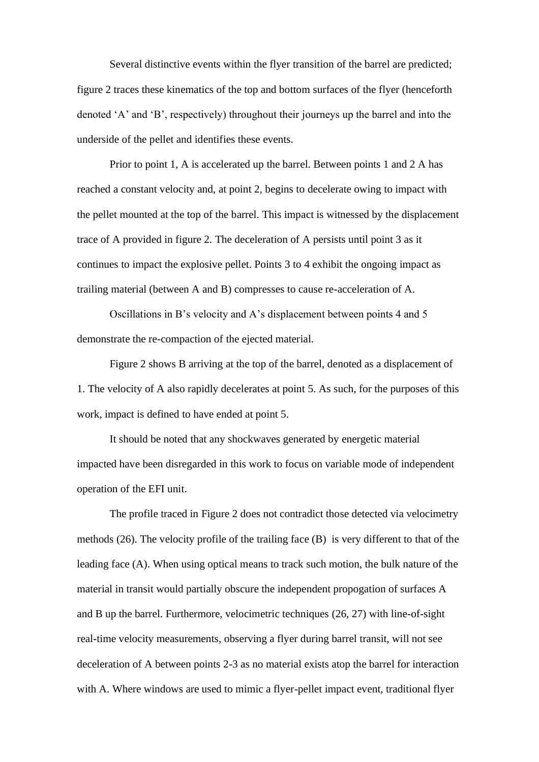Several distinctive events within the flyer transition of the barrel are predicted; figure 2 traces these kinematics of the top and bottom surfaces of the flyer (henceforth denoted 'A' and 'B', respectively) throughout their journeys up the barrel and into the underside of the pellet and identifies these events.

Prior to point 1, A is accelerated up the barrel. Between points 1 and 2 A has reached a constant velocity and, at point 2, begins to decelerate owing to impact with the pellet mounted at the top of the barrel. This impact is witnessed by the displacement trace of A provided in figure 2. The deceleration of A persists until point 3 as it continues to impact the explosive pellet. Points 3 to 4 exhibit the ongoing impact as trailing material (between A and B) compresses to cause re-acceleration of A.

Oscillations in B's velocity and A's displacement between points 4 and 5 demonstrate the re-compaction of the ejected material.

Figure 2 shows B arriving at the top of the barrel, denoted as a displacement of 1. The velocity of A also rapidly decelerates at point 5. As such, for the purposes of this work, impact is defined to have ended at point 5.

It should be noted that any shockwaves generated by energetic material impacted have been disregarded in this work to focus on variable mode of independent operation of the EFI unit.

The profile traced in [Figure 2](#page-11-0) does not contradict those detected via velocimetry methods (26). The velocity profile of the trailing face (B) is very different to that of the leading face (A). When using optical means to track such motion, the bulk nature of the material in transit would partially obscure the independent propogation of surfaces A and B up the barrel. Furthermore, velocimetric techniques (26, 27) with line-of-sight real-time velocity measurements, observing a flyer during barrel transit, will not see deceleration of A between points 2-3 as no material exists atop the barrel for interaction with A. Where windows are used to mimic a flyer-pellet impact event, traditional flyer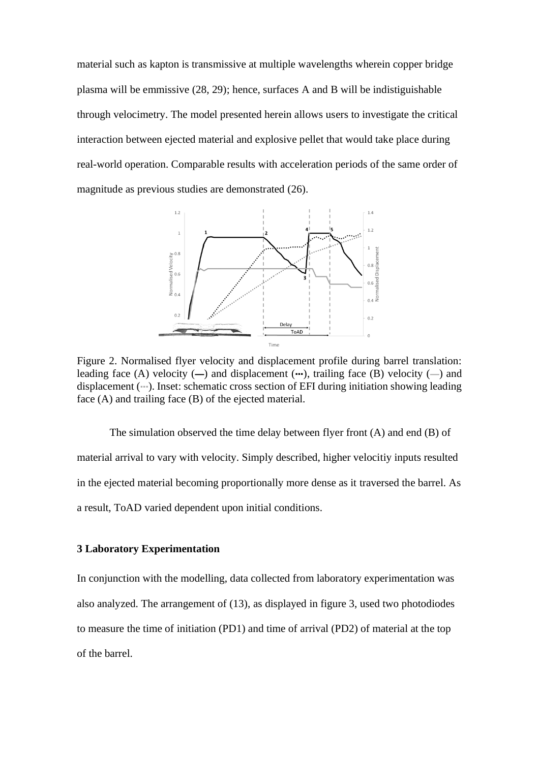material such as kapton is transmissive at multiple wavelengths wherein copper bridge plasma will be emmissive (28, 29); hence, surfaces A and B will be indistiguishable through velocimetry. The model presented herein allows users to investigate the critical interaction between ejected material and explosive pellet that would take place during real-world operation. Comparable results with acceleration periods of the same order of magnitude as previous studies are demonstrated (26).



<span id="page-11-0"></span>Figure 2. Normalised flyer velocity and displacement profile during barrel translation: leading face (A) velocity  $(-)$  and displacement  $(\cdots)$ , trailing face (B) velocity  $(-)$  and displacement (···). Inset: schematic cross section of EFI during initiation showing leading face (A) and trailing face (B) of the ejected material.

The simulation observed the time delay between flyer front (A) and end (B) of material arrival to vary with velocity. Simply described, higher velocitiy inputs resulted in the ejected material becoming proportionally more dense as it traversed the barrel. As a result, ToAD varied dependent upon initial conditions.

#### **3 Laboratory Experimentation**

In conjunction with the modelling, data collected from laboratory experimentation was also analyzed. The arrangement of (13), as displayed in figure 3, used two photodiodes to measure the time of initiation (PD1) and time of arrival (PD2) of material at the top of the barrel.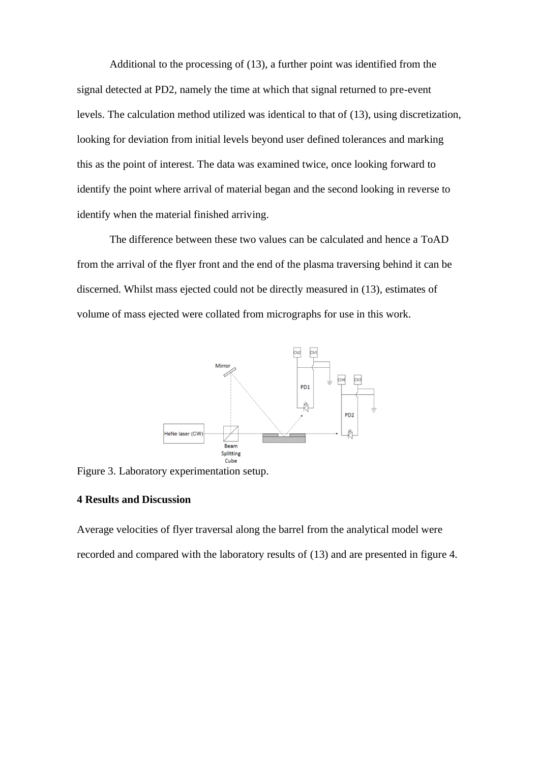Additional to the processing of (13), a further point was identified from the signal detected at PD2, namely the time at which that signal returned to pre-event levels. The calculation method utilized was identical to that of (13), using discretization, looking for deviation from initial levels beyond user defined tolerances and marking this as the point of interest. The data was examined twice, once looking forward to identify the point where arrival of material began and the second looking in reverse to identify when the material finished arriving.

The difference between these two values can be calculated and hence a ToAD from the arrival of the flyer front and the end of the plasma traversing behind it can be discerned. Whilst mass ejected could not be directly measured in (13), estimates of volume of mass ejected were collated from micrographs for use in this work.



Figure 3. Laboratory experimentation setup.

## **4 Results and Discussion**

Average velocities of flyer traversal along the barrel from the analytical model were recorded and compared with the laboratory results of (13) and are presented in figure 4.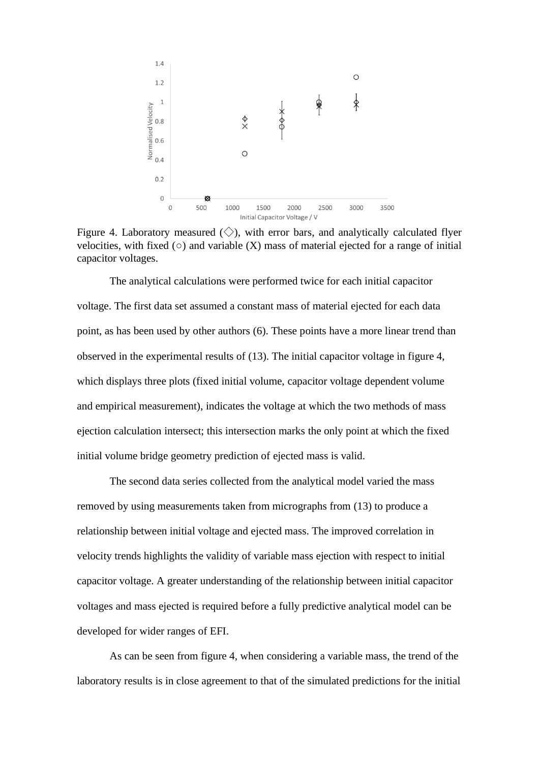

Figure 4. Laboratory measured  $(\diamondsuit)$ , with error bars, and analytically calculated flyer velocities, with fixed  $(\circ)$  and variable  $(X)$  mass of material ejected for a range of initial capacitor voltages.

The analytical calculations were performed twice for each initial capacitor voltage. The first data set assumed a constant mass of material ejected for each data point, as has been used by other authors (6). These points have a more linear trend than observed in the experimental results of (13). The initial capacitor voltage in figure 4, which displays three plots (fixed initial volume, capacitor voltage dependent volume and empirical measurement), indicates the voltage at which the two methods of mass ejection calculation intersect; this intersection marks the only point at which the fixed initial volume bridge geometry prediction of ejected mass is valid.

The second data series collected from the analytical model varied the mass removed by using measurements taken from micrographs from (13) to produce a relationship between initial voltage and ejected mass. The improved correlation in velocity trends highlights the validity of variable mass ejection with respect to initial capacitor voltage. A greater understanding of the relationship between initial capacitor voltages and mass ejected is required before a fully predictive analytical model can be developed for wider ranges of EFI.

As can be seen from figure 4, when considering a variable mass, the trend of the laboratory results is in close agreement to that of the simulated predictions for the initial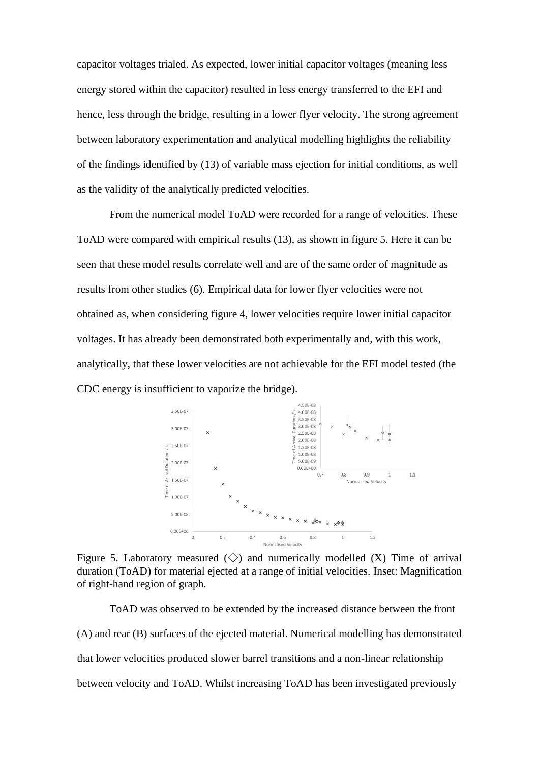capacitor voltages trialed. As expected, lower initial capacitor voltages (meaning less energy stored within the capacitor) resulted in less energy transferred to the EFI and hence, less through the bridge, resulting in a lower flyer velocity. The strong agreement between laboratory experimentation and analytical modelling highlights the reliability of the findings identified by (13) of variable mass ejection for initial conditions, as well as the validity of the analytically predicted velocities.

From the numerical model ToAD were recorded for a range of velocities. These ToAD were compared with empirical results (13), as shown in figure 5. Here it can be seen that these model results correlate well and are of the same order of magnitude as results from other studies (6). Empirical data for lower flyer velocities were not obtained as, when considering figure 4, lower velocities require lower initial capacitor voltages. It has already been demonstrated both experimentally and, with this work, analytically, that these lower velocities are not achievable for the EFI model tested (the CDC energy is insufficient to vaporize the bridge).



Figure 5. Laboratory measured  $\langle \rangle$  and numerically modelled  $(X)$  Time of arrival duration (ToAD) for material ejected at a range of initial velocities. Inset: Magnification of right-hand region of graph.

ToAD was observed to be extended by the increased distance between the front (A) and rear (B) surfaces of the ejected material. Numerical modelling has demonstrated that lower velocities produced slower barrel transitions and a non-linear relationship between velocity and ToAD. Whilst increasing ToAD has been investigated previously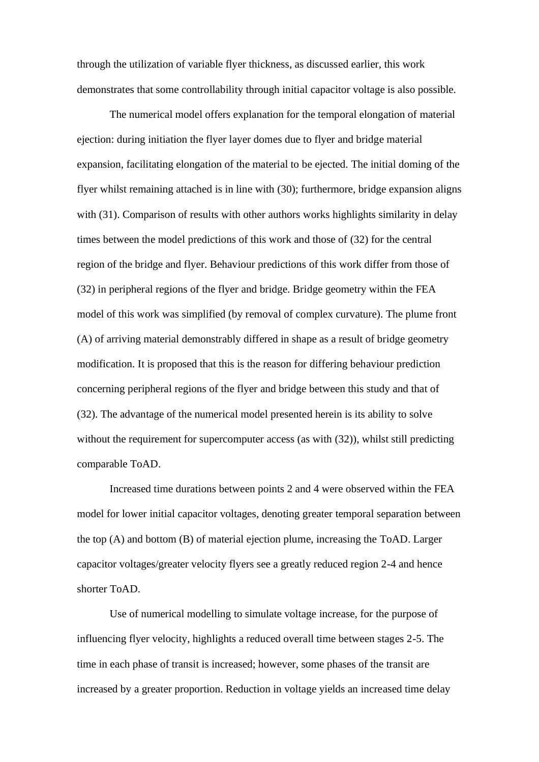through the utilization of variable flyer thickness, as discussed earlier, this work demonstrates that some controllability through initial capacitor voltage is also possible.

The numerical model offers explanation for the temporal elongation of material ejection: during initiation the flyer layer domes due to flyer and bridge material expansion, facilitating elongation of the material to be ejected. The initial doming of the flyer whilst remaining attached is in line with (30); furthermore, bridge expansion aligns with (31). Comparison of results with other authors works highlights similarity in delay times between the model predictions of this work and those of (32) for the central region of the bridge and flyer. Behaviour predictions of this work differ from those of (32) in peripheral regions of the flyer and bridge. Bridge geometry within the FEA model of this work was simplified (by removal of complex curvature). The plume front (A) of arriving material demonstrably differed in shape as a result of bridge geometry modification. It is proposed that this is the reason for differing behaviour prediction concerning peripheral regions of the flyer and bridge between this study and that of (32). The advantage of the numerical model presented herein is its ability to solve without the requirement for supercomputer access (as with  $(32)$ ), whilst still predicting comparable ToAD.

Increased time durations between points 2 and 4 were observed within the FEA model for lower initial capacitor voltages, denoting greater temporal separation between the top (A) and bottom (B) of material ejection plume, increasing the ToAD. Larger capacitor voltages/greater velocity flyers see a greatly reduced region 2-4 and hence shorter ToAD.

Use of numerical modelling to simulate voltage increase, for the purpose of influencing flyer velocity, highlights a reduced overall time between stages 2-5. The time in each phase of transit is increased; however, some phases of the transit are increased by a greater proportion. Reduction in voltage yields an increased time delay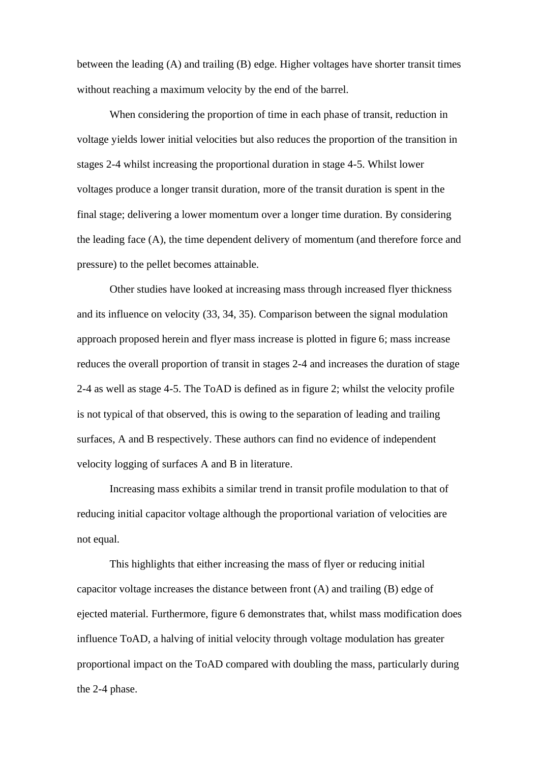between the leading (A) and trailing (B) edge. Higher voltages have shorter transit times without reaching a maximum velocity by the end of the barrel.

When considering the proportion of time in each phase of transit, reduction in voltage yields lower initial velocities but also reduces the proportion of the transition in stages 2-4 whilst increasing the proportional duration in stage 4-5. Whilst lower voltages produce a longer transit duration, more of the transit duration is spent in the final stage; delivering a lower momentum over a longer time duration. By considering the leading face (A), the time dependent delivery of momentum (and therefore force and pressure) to the pellet becomes attainable.

Other studies have looked at increasing mass through increased flyer thickness and its influence on velocity (33, 34, 35). Comparison between the signal modulation approach proposed herein and flyer mass increase is plotted in figure 6; mass increase reduces the overall proportion of transit in stages 2-4 and increases the duration of stage 2-4 as well as stage 4-5. The ToAD is defined as in figure 2; whilst the velocity profile is not typical of that observed, this is owing to the separation of leading and trailing surfaces, A and B respectively. These authors can find no evidence of independent velocity logging of surfaces A and B in literature.

Increasing mass exhibits a similar trend in transit profile modulation to that of reducing initial capacitor voltage although the proportional variation of velocities are not equal.

This highlights that either increasing the mass of flyer or reducing initial capacitor voltage increases the distance between front (A) and trailing (B) edge of ejected material. Furthermore, figure 6 demonstrates that, whilst mass modification does influence ToAD, a halving of initial velocity through voltage modulation has greater proportional impact on the ToAD compared with doubling the mass, particularly during the 2-4 phase.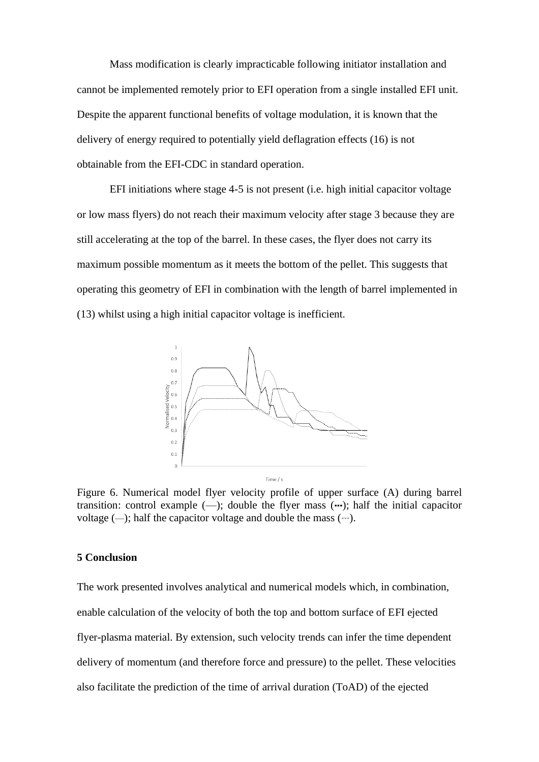Mass modification is clearly impracticable following initiator installation and cannot be implemented remotely prior to EFI operation from a single installed EFI unit. Despite the apparent functional benefits of voltage modulation, it is known that the delivery of energy required to potentially yield deflagration effects (16) is not obtainable from the EFI-CDC in standard operation.

EFI initiations where stage 4-5 is not present (i.e. high initial capacitor voltage or low mass flyers) do not reach their maximum velocity after stage 3 because they are still accelerating at the top of the barrel. In these cases, the flyer does not carry its maximum possible momentum as it meets the bottom of the pellet. This suggests that operating this geometry of EFI in combination with the length of barrel implemented in (13) whilst using a high initial capacitor voltage is inefficient.



Figure 6. Numerical model flyer velocity profile of upper surface (A) during barrel transition: control example  $(-)$ ; double the flyer mass  $(-)$ ; half the initial capacitor voltage  $(-)$ ; half the capacitor voltage and double the mass  $(-)$ .

#### **5 Conclusion**

The work presented involves analytical and numerical models which, in combination, enable calculation of the velocity of both the top and bottom surface of EFI ejected flyer-plasma material. By extension, such velocity trends can infer the time dependent delivery of momentum (and therefore force and pressure) to the pellet. These velocities also facilitate the prediction of the time of arrival duration (ToAD) of the ejected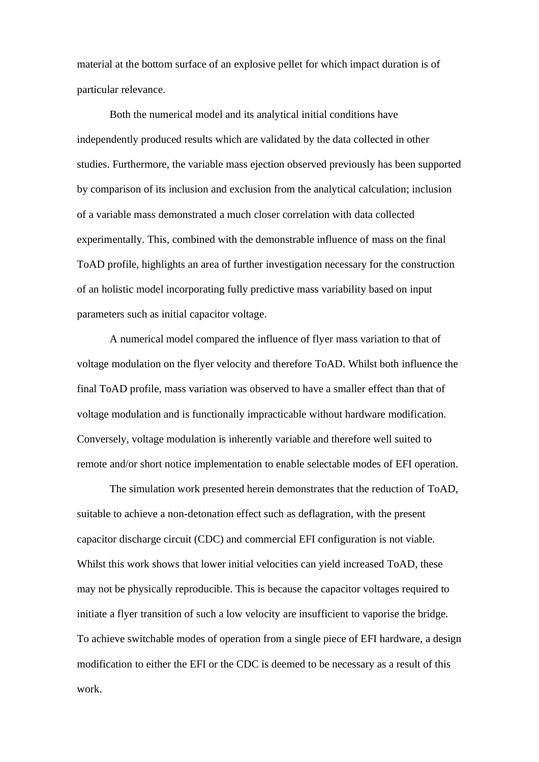material at the bottom surface of an explosive pellet for which impact duration is of particular relevance.

Both the numerical model and its analytical initial conditions have independently produced results which are validated by the data collected in other studies. Furthermore, the variable mass ejection observed previously has been supported by comparison of its inclusion and exclusion from the analytical calculation; inclusion of a variable mass demonstrated a much closer correlation with data collected experimentally. This, combined with the demonstrable influence of mass on the final ToAD profile, highlights an area of further investigation necessary for the construction of an holistic model incorporating fully predictive mass variability based on input parameters such as initial capacitor voltage.

A numerical model compared the influence of flyer mass variation to that of voltage modulation on the flyer velocity and therefore ToAD. Whilst both influence the final ToAD profile, mass variation was observed to have a smaller effect than that of voltage modulation and is functionally impracticable without hardware modification. Conversely, voltage modulation is inherently variable and therefore well suited to remote and/or short notice implementation to enable selectable modes of EFI operation.

The simulation work presented herein demonstrates that the reduction of ToAD, suitable to achieve a non-detonation effect such as deflagration, with the present capacitor discharge circuit (CDC) and commercial EFI configuration is not viable. Whilst this work shows that lower initial velocities can yield increased ToAD, these may not be physically reproducible. This is because the capacitor voltages required to initiate a flyer transition of such a low velocity are insufficient to vaporise the bridge. To achieve switchable modes of operation from a single piece of EFI hardware, a design modification to either the EFI or the CDC is deemed to be necessary as a result of this work.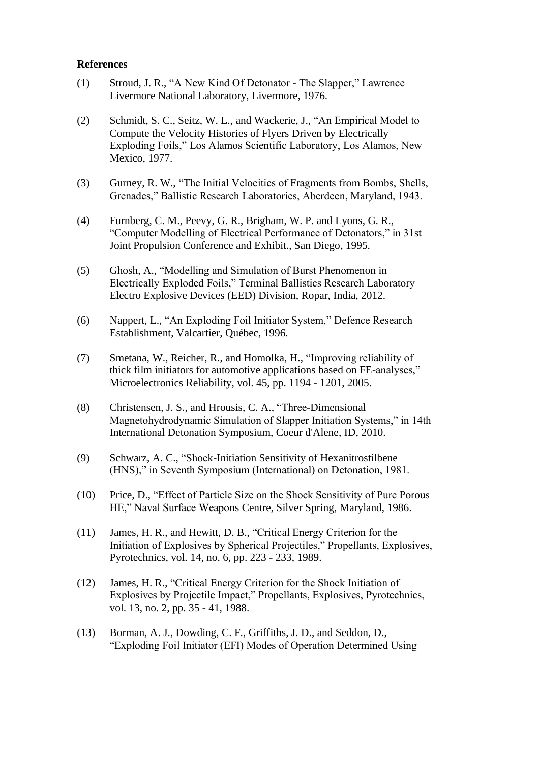# **References**

- (1) Stroud, J. R., "A New Kind Of Detonator The Slapper," Lawrence Livermore National Laboratory, Livermore, 1976.
- (2) Schmidt, S. C., Seitz, W. L., and Wackerie, J., "An Empirical Model to Compute the Velocity Histories of Flyers Driven by Electrically Exploding Foils," Los Alamos Scientific Laboratory, Los Alamos, New Mexico, 1977.
- (3) Gurney, R. W., "The Initial Velocities of Fragments from Bombs, Shells, Grenades," Ballistic Research Laboratories, Aberdeen, Maryland, 1943.
- (4) Furnberg, C. M., Peevy, G. R., Brigham, W. P. and Lyons, G. R., "Computer Modelling of Electrical Performance of Detonators," in 31st Joint Propulsion Conference and Exhibit., San Diego, 1995.
- (5) Ghosh, A., "Modelling and Simulation of Burst Phenomenon in Electrically Exploded Foils," Terminal Ballistics Research Laboratory Electro Explosive Devices (EED) Division, Ropar, India, 2012.
- (6) Nappert, L., "An Exploding Foil Initiator System," Defence Research Establishment, Valcartier, Québec, 1996.
- (7) Smetana, W., Reicher, R., and Homolka, H., "Improving reliability of thick film initiators for automotive applications based on FE-analyses," Microelectronics Reliability, vol. 45, pp. 1194 - 1201, 2005.
- (8) Christensen, J. S., and Hrousis, C. A., "Three-Dimensional Magnetohydrodynamic Simulation of Slapper Initiation Systems," in 14th International Detonation Symposium, Coeur d'Alene, ID, 2010.
- (9) Schwarz, A. C., "Shock-Initiation Sensitivity of Hexanitrostilbene (HNS)," in Seventh Symposium (International) on Detonation, 1981.
- (10) Price, D., "Effect of Particle Size on the Shock Sensitivity of Pure Porous HE," Naval Surface Weapons Centre, Silver Spring, Maryland, 1986.
- (11) James, H. R., and Hewitt, D. B., "Critical Energy Criterion for the Initiation of Explosives by Spherical Projectiles," Propellants, Explosives, Pyrotechnics, vol. 14, no. 6, pp. 223 - 233, 1989.
- (12) James, H. R., "Critical Energy Criterion for the Shock Initiation of Explosives by Projectile Impact," Propellants, Explosives, Pyrotechnics, vol. 13, no. 2, pp. 35 - 41, 1988.
- (13) Borman, A. J., Dowding, C. F., Griffiths, J. D., and Seddon, D., "Exploding Foil Initiator (EFI) Modes of Operation Determined Using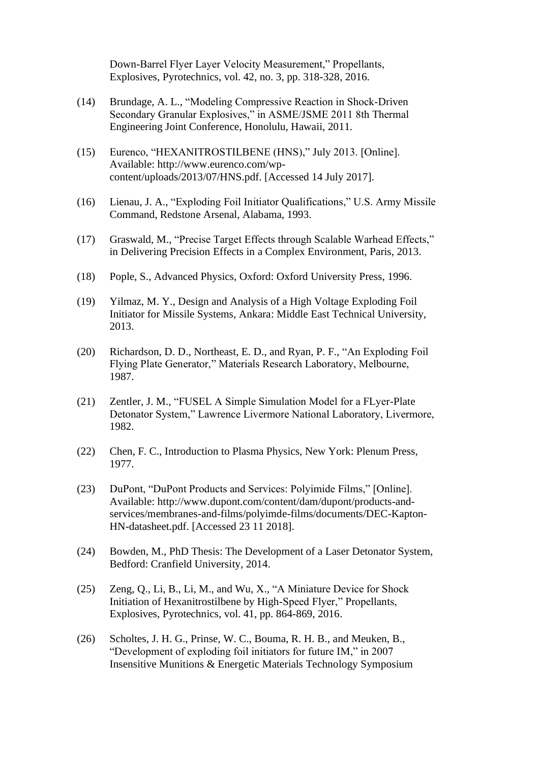Down-Barrel Flyer Layer Velocity Measurement," Propellants, Explosives, Pyrotechnics, vol. 42, no. 3, pp. 318-328, 2016.

- (14) Brundage, A. L., "Modeling Compressive Reaction in Shock-Driven Secondary Granular Explosives," in ASME/JSME 2011 8th Thermal Engineering Joint Conference, Honolulu, Hawaii, 2011.
- (15) Eurenco, "HEXANITROSTILBENE (HNS)," July 2013. [Online]. Available: http://www.eurenco.com/wpcontent/uploads/2013/07/HNS.pdf. [Accessed 14 July 2017].
- (16) Lienau, J. A., "Exploding Foil Initiator Qualifications," U.S. Army Missile Command, Redstone Arsenal, Alabama, 1993.
- (17) Graswald, M., "Precise Target Effects through Scalable Warhead Effects," in Delivering Precision Effects in a Complex Environment, Paris, 2013.
- (18) Pople, S., Advanced Physics, Oxford: Oxford University Press, 1996.
- (19) Yilmaz, M. Y., Design and Analysis of a High Voltage Exploding Foil Initiator for Missile Systems, Ankara: Middle East Technical University, 2013.
- (20) Richardson, D. D., Northeast, E. D., and Ryan, P. F., "An Exploding Foil Flying Plate Generator," Materials Research Laboratory, Melbourne, 1987.
- (21) Zentler, J. M., "FUSEL A Simple Simulation Model for a FLyer-Plate Detonator System," Lawrence Livermore National Laboratory, Livermore, 1982.
- (22) Chen, F. C., Introduction to Plasma Physics, New York: Plenum Press, 1977.
- (23) DuPont, "DuPont Products and Services: Polyimide Films," [Online]. Available: http://www.dupont.com/content/dam/dupont/products-andservices/membranes-and-films/polyimde-films/documents/DEC-Kapton-HN-datasheet.pdf. [Accessed 23 11 2018].
- (24) Bowden, M., PhD Thesis: The Development of a Laser Detonator System, Bedford: Cranfield University, 2014.
- (25) Zeng, Q., Li, B., Li, M., and Wu, X., "A Miniature Device for Shock Initiation of Hexanitrostilbene by High-Speed Flyer," Propellants, Explosives, Pyrotechnics, vol. 41, pp. 864-869, 2016.
- (26) Scholtes, J. H. G., Prinse, W. C., Bouma, R. H. B., and Meuken, B., "Development of exploding foil initiators for future IM," in 2007 Insensitive Munitions & Energetic Materials Technology Symposium